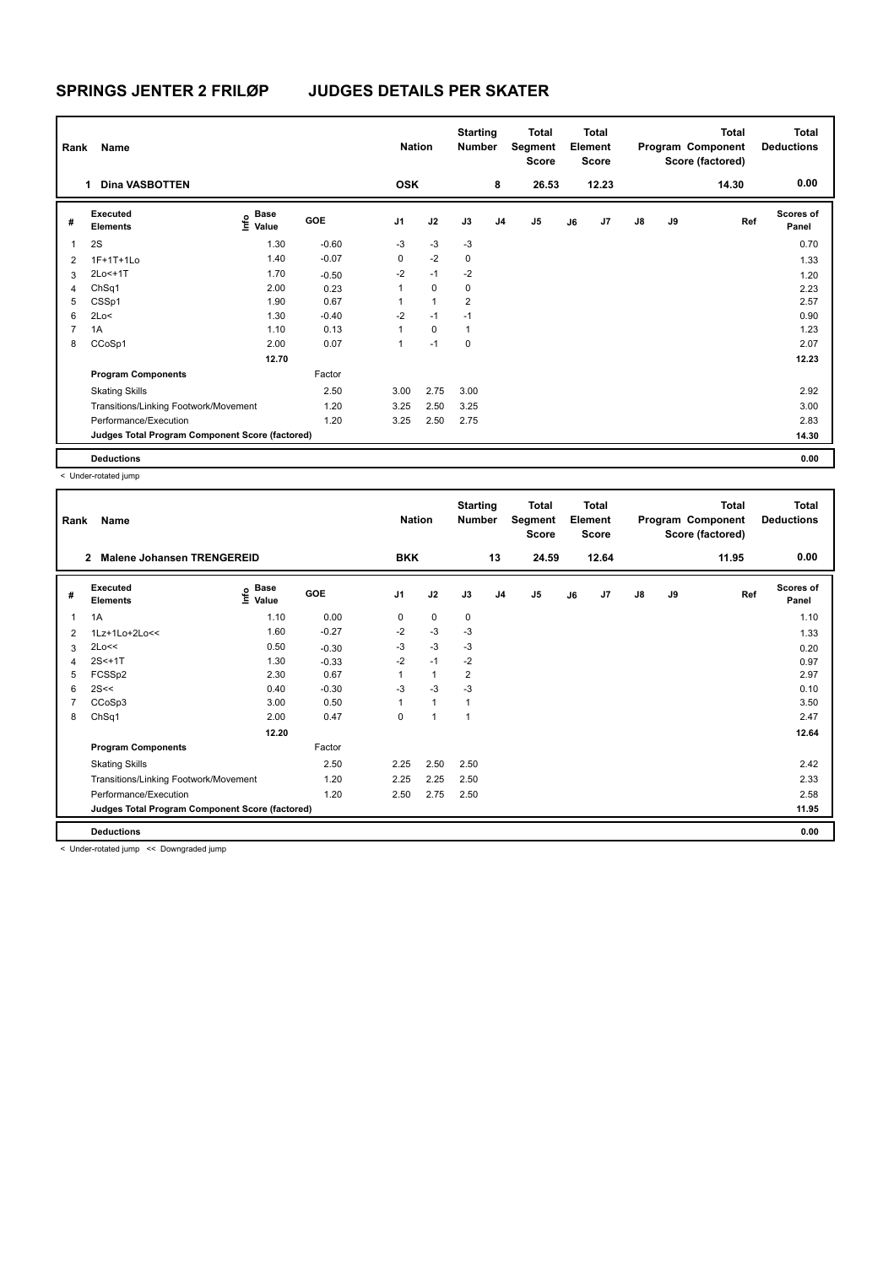| Rank           | Name                                            |                                  |         | <b>Nation</b>  |              | <b>Starting</b><br><b>Number</b> |                | <b>Total</b><br>Segment<br><b>Score</b> |    | <b>Total</b><br>Element<br><b>Score</b> |               |    | <b>Total</b><br>Program Component<br>Score (factored) | Total<br><b>Deductions</b> |
|----------------|-------------------------------------------------|----------------------------------|---------|----------------|--------------|----------------------------------|----------------|-----------------------------------------|----|-----------------------------------------|---------------|----|-------------------------------------------------------|----------------------------|
|                | <b>Dina VASBOTTEN</b><br>1.                     |                                  |         | <b>OSK</b>     |              |                                  | 8              | 26.53                                   |    | 12.23                                   |               |    | 14.30                                                 | 0.00                       |
| #              | Executed<br><b>Elements</b>                     | <b>Base</b><br>o Base<br>⊆ Value | GOE     | J <sub>1</sub> | J2           | J3                               | J <sub>4</sub> | J <sub>5</sub>                          | J6 | J7                                      | $\mathsf{J}8$ | J9 | Ref                                                   | <b>Scores of</b><br>Panel  |
| $\mathbf{1}$   | 2S                                              | 1.30                             | $-0.60$ | $-3$           | $-3$         | $-3$                             |                |                                         |    |                                         |               |    |                                                       | 0.70                       |
| $\overline{2}$ | 1F+1T+1Lo                                       | 1.40                             | $-0.07$ | 0              | $-2$         | $\mathbf 0$                      |                |                                         |    |                                         |               |    |                                                       | 1.33                       |
| 3              | 2Lo<+1T                                         | 1.70                             | $-0.50$ | $-2$           | $-1$         | $-2$                             |                |                                         |    |                                         |               |    |                                                       | 1.20                       |
| 4              | ChSq1                                           | 2.00                             | 0.23    | 1              | $\mathbf 0$  | 0                                |                |                                         |    |                                         |               |    |                                                       | 2.23                       |
| 5              | CSSp1                                           | 1.90                             | 0.67    | 1              | $\mathbf{1}$ | $\overline{2}$                   |                |                                         |    |                                         |               |    |                                                       | 2.57                       |
| 6              | 2Lo<                                            | 1.30                             | $-0.40$ | $-2$           | $-1$         | $-1$                             |                |                                         |    |                                         |               |    |                                                       | 0.90                       |
| $\overline{7}$ | 1A                                              | 1.10                             | 0.13    | $\mathbf{1}$   | $\Omega$     | $\mathbf{1}$                     |                |                                         |    |                                         |               |    |                                                       | 1.23                       |
| 8              | CCoSp1                                          | 2.00                             | 0.07    | 1              | $-1$         | $\mathbf 0$                      |                |                                         |    |                                         |               |    |                                                       | 2.07                       |
|                |                                                 | 12.70                            |         |                |              |                                  |                |                                         |    |                                         |               |    |                                                       | 12.23                      |
|                | <b>Program Components</b>                       |                                  | Factor  |                |              |                                  |                |                                         |    |                                         |               |    |                                                       |                            |
|                | <b>Skating Skills</b>                           |                                  | 2.50    | 3.00           | 2.75         | 3.00                             |                |                                         |    |                                         |               |    |                                                       | 2.92                       |
|                | Transitions/Linking Footwork/Movement           |                                  | 1.20    | 3.25           | 2.50         | 3.25                             |                |                                         |    |                                         |               |    |                                                       | 3.00                       |
|                | Performance/Execution                           |                                  | 1.20    | 3.25           | 2.50         | 2.75                             |                |                                         |    |                                         |               |    |                                                       | 2.83                       |
|                | Judges Total Program Component Score (factored) |                                  |         |                |              |                                  |                |                                         |    |                                         |               |    |                                                       | 14.30                      |
|                | <b>Deductions</b>                               |                                  |         |                |              |                                  |                |                                         |    |                                         |               |    |                                                       | 0.00                       |

< Under-rotated jump

| Rank           | Name                                            |                                         |         | <b>Nation</b>  |              | <b>Starting</b><br><b>Number</b> |                | Total<br>Segment<br><b>Score</b> |    | <b>Total</b><br>Element<br><b>Score</b> |               |    | Total<br>Program Component<br>Score (factored) | <b>Total</b><br><b>Deductions</b> |
|----------------|-------------------------------------------------|-----------------------------------------|---------|----------------|--------------|----------------------------------|----------------|----------------------------------|----|-----------------------------------------|---------------|----|------------------------------------------------|-----------------------------------|
|                | Malene Johansen TRENGEREID<br>$\mathbf{2}$      |                                         |         | <b>BKK</b>     |              |                                  | 13             | 24.59                            |    | 12.64                                   |               |    | 11.95                                          | 0.00                              |
| #              | Executed<br><b>Elements</b>                     | $\mathbf{e}$ Base<br>$\mathbf{e}$ Value | GOE     | J <sub>1</sub> | J2           | J3                               | J <sub>4</sub> | J5                               | J6 | J7                                      | $\mathsf{J}8$ | J9 | Ref                                            | <b>Scores of</b><br>Panel         |
| 1              | 1A                                              | 1.10                                    | 0.00    | 0              | 0            | 0                                |                |                                  |    |                                         |               |    |                                                | 1.10                              |
| $\overline{2}$ | $1Lz+1Lo+2Lo<<$                                 | 1.60                                    | $-0.27$ | $-2$           | $-3$         | -3                               |                |                                  |    |                                         |               |    |                                                | 1.33                              |
| 3              | 2Lo<<                                           | 0.50                                    | $-0.30$ | -3             | $-3$         | $-3$                             |                |                                  |    |                                         |               |    |                                                | 0.20                              |
| 4              | $2S<+1T$                                        | 1.30                                    | $-0.33$ | $-2$           | $-1$         | $-2$                             |                |                                  |    |                                         |               |    |                                                | 0.97                              |
| 5              | FCSSp2                                          | 2.30                                    | 0.67    | $\mathbf{1}$   | $\mathbf{1}$ | $\overline{2}$                   |                |                                  |    |                                         |               |    |                                                | 2.97                              |
| 6              | 2S<<                                            | 0.40                                    | $-0.30$ | $-3$           | $-3$         | $-3$                             |                |                                  |    |                                         |               |    |                                                | 0.10                              |
|                | CCoSp3                                          | 3.00                                    | 0.50    | 1              | $\mathbf{1}$ | $\mathbf{1}$                     |                |                                  |    |                                         |               |    |                                                | 3.50                              |
| 8              | ChSq1                                           | 2.00                                    | 0.47    | 0              | $\mathbf{1}$ | $\mathbf{1}$                     |                |                                  |    |                                         |               |    |                                                | 2.47                              |
|                |                                                 | 12.20                                   |         |                |              |                                  |                |                                  |    |                                         |               |    |                                                | 12.64                             |
|                | <b>Program Components</b>                       |                                         | Factor  |                |              |                                  |                |                                  |    |                                         |               |    |                                                |                                   |
|                | <b>Skating Skills</b>                           |                                         | 2.50    | 2.25           | 2.50         | 2.50                             |                |                                  |    |                                         |               |    |                                                | 2.42                              |
|                | Transitions/Linking Footwork/Movement           |                                         | 1.20    | 2.25           | 2.25         | 2.50                             |                |                                  |    |                                         |               |    |                                                | 2.33                              |
|                | Performance/Execution                           |                                         | 1.20    | 2.50           | 2.75         | 2.50                             |                |                                  |    |                                         |               |    |                                                | 2.58                              |
|                | Judges Total Program Component Score (factored) |                                         |         |                |              |                                  |                |                                  |    |                                         |               |    |                                                | 11.95                             |
|                | <b>Deductions</b>                               |                                         |         |                |              |                                  |                |                                  |    |                                         |               |    |                                                | 0.00                              |

< Under-rotated jump << Downgraded jump

Ш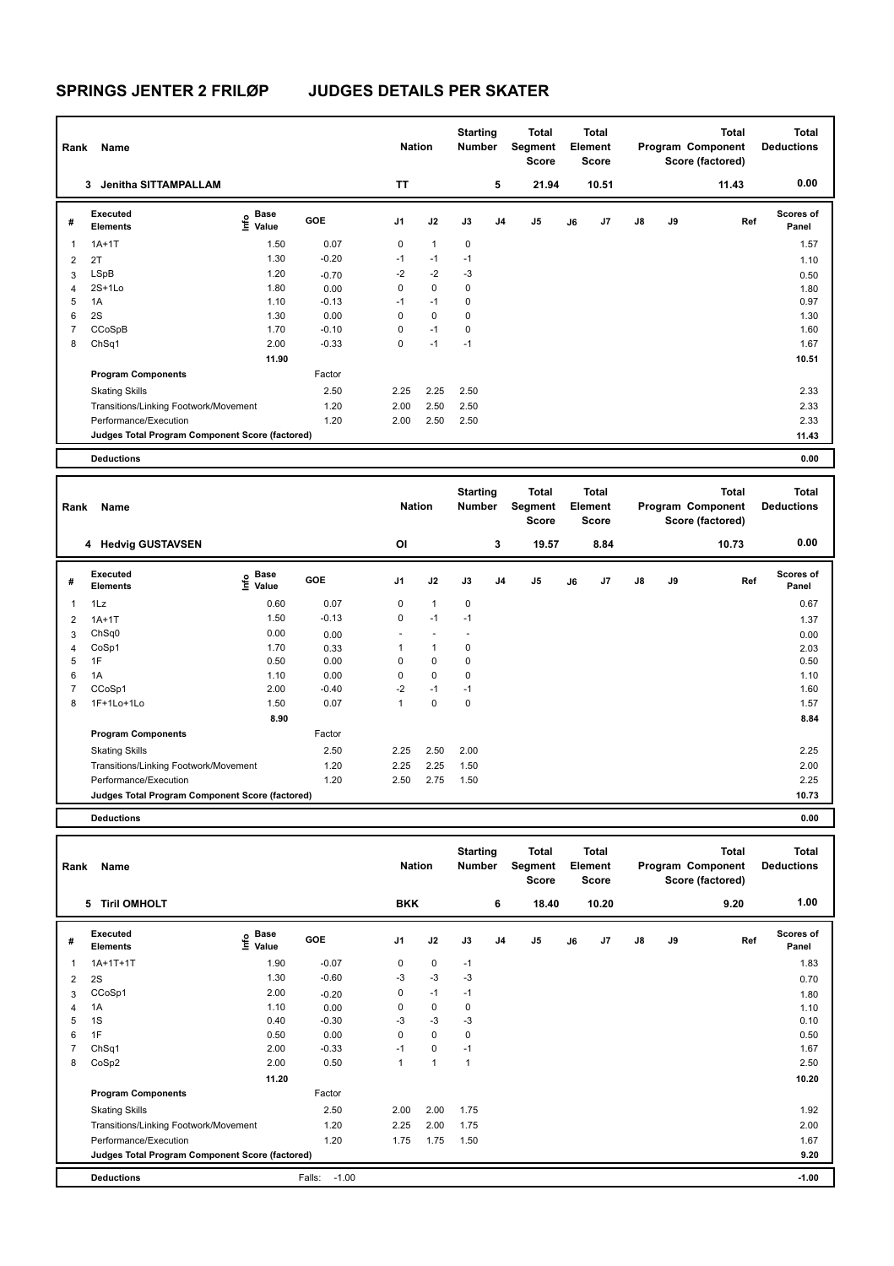| Rank | Name                                            |                              |         | <b>Nation</b> |              | <b>Starting</b><br>Number |                | <b>Total</b><br>Segment<br><b>Score</b> |    | <b>Total</b><br>Element<br><b>Score</b> |               |    | <b>Total</b><br>Program Component<br>Score (factored) | Total<br><b>Deductions</b> |
|------|-------------------------------------------------|------------------------------|---------|---------------|--------------|---------------------------|----------------|-----------------------------------------|----|-----------------------------------------|---------------|----|-------------------------------------------------------|----------------------------|
|      | <b>Jenitha SITTAMPALLAM</b><br>3                |                              |         | <b>TT</b>     |              |                           | 5              | 21.94                                   |    | 10.51                                   |               |    | 11.43                                                 | 0.00                       |
| #    | Executed<br><b>Elements</b>                     | <b>Base</b><br>Info<br>Value | GOE     | J1            | J2           | J3                        | J <sub>4</sub> | J <sub>5</sub>                          | J6 | J7                                      | $\mathsf{J}8$ | J9 | Ref                                                   | <b>Scores of</b><br>Panel  |
|      | $1A+1T$                                         | 1.50                         | 0.07    | 0             | $\mathbf{1}$ | $\mathbf 0$               |                |                                         |    |                                         |               |    |                                                       | 1.57                       |
| 2    | 2T                                              | 1.30                         | $-0.20$ | $-1$          | $-1$         | $-1$                      |                |                                         |    |                                         |               |    |                                                       | 1.10                       |
| 3    | LSpB                                            | 1.20                         | $-0.70$ | $-2$          | $-2$         | $-3$                      |                |                                         |    |                                         |               |    |                                                       | 0.50                       |
| 4    | $2S+1Lo$                                        | 1.80                         | 0.00    | 0             | 0            | $\mathbf 0$               |                |                                         |    |                                         |               |    |                                                       | 1.80                       |
| 5    | 1A                                              | 1.10                         | $-0.13$ | $-1$          | $-1$         | $\mathbf 0$               |                |                                         |    |                                         |               |    |                                                       | 0.97                       |
| 6    | 2S                                              | 1.30                         | 0.00    | 0             | $\mathbf 0$  | $\mathbf 0$               |                |                                         |    |                                         |               |    |                                                       | 1.30                       |
| 7    | CCoSpB                                          | 1.70                         | $-0.10$ | 0             | $-1$         | 0                         |                |                                         |    |                                         |               |    |                                                       | 1.60                       |
| 8    | ChSq1                                           | 2.00                         | $-0.33$ | 0             | $-1$         | $-1$                      |                |                                         |    |                                         |               |    |                                                       | 1.67                       |
|      |                                                 | 11.90                        |         |               |              |                           |                |                                         |    |                                         |               |    |                                                       | 10.51                      |
|      | <b>Program Components</b>                       |                              | Factor  |               |              |                           |                |                                         |    |                                         |               |    |                                                       |                            |
|      | <b>Skating Skills</b>                           |                              | 2.50    | 2.25          | 2.25         | 2.50                      |                |                                         |    |                                         |               |    |                                                       | 2.33                       |
|      | Transitions/Linking Footwork/Movement           |                              | 1.20    | 2.00          | 2.50         | 2.50                      |                |                                         |    |                                         |               |    |                                                       | 2.33                       |
|      | Performance/Execution                           |                              | 1.20    | 2.00          | 2.50         | 2.50                      |                |                                         |    |                                         |               |    |                                                       | 2.33                       |
|      | Judges Total Program Component Score (factored) |                              |         |               |              |                           |                |                                         |    |                                         |               |    |                                                       | 11.43                      |
|      | <b>Deductions</b>                               |                              |         |               |              |                           |                |                                         |    |                                         |               |    |                                                       | 0.00                       |

| Rank | Name                                            |                           |            | <b>Nation</b>  |              | <b>Starting</b><br><b>Number</b> |    | Total<br>Segment<br><b>Score</b> |    | <b>Total</b><br>Element<br><b>Score</b> |               |    | <b>Total</b><br>Program Component<br>Score (factored) | <b>Total</b><br><b>Deductions</b> |
|------|-------------------------------------------------|---------------------------|------------|----------------|--------------|----------------------------------|----|----------------------------------|----|-----------------------------------------|---------------|----|-------------------------------------------------------|-----------------------------------|
|      | 4 Hedvig GUSTAVSEN                              |                           |            | ΟI             |              |                                  | 3  | 19.57                            |    | 8.84                                    |               |    | 10.73                                                 | 0.00                              |
| #    | Executed<br><b>Elements</b>                     | Base<br>e Base<br>⊆ Value | <b>GOE</b> | J <sub>1</sub> | J2           | J3                               | J4 | J <sub>5</sub>                   | J6 | J <sub>7</sub>                          | $\mathsf{J}8$ | J9 | Ref                                                   | <b>Scores of</b><br>Panel         |
| 1    | 1Lz                                             | 0.60                      | 0.07       | 0              | $\mathbf{1}$ | 0                                |    |                                  |    |                                         |               |    |                                                       | 0.67                              |
| 2    | $1A+1T$                                         | 1.50                      | $-0.13$    | $\mathbf 0$    | $-1$         | $-1$                             |    |                                  |    |                                         |               |    |                                                       | 1.37                              |
| 3    | Ch <sub>Sq0</sub>                               | 0.00                      | 0.00       |                |              |                                  |    |                                  |    |                                         |               |    |                                                       | 0.00                              |
| 4    | CoSp1                                           | 1.70                      | 0.33       |                | 1            | 0                                |    |                                  |    |                                         |               |    |                                                       | 2.03                              |
| 5    | 1F                                              | 0.50                      | 0.00       | 0              | $\mathbf 0$  | 0                                |    |                                  |    |                                         |               |    |                                                       | 0.50                              |
| 6    | 1A                                              | 1.10                      | 0.00       | 0              | $\mathbf 0$  | 0                                |    |                                  |    |                                         |               |    |                                                       | 1.10                              |
| 7    | CCoSp1                                          | 2.00                      | $-0.40$    | $-2$           | $-1$         | $-1$                             |    |                                  |    |                                         |               |    |                                                       | 1.60                              |
| 8    | 1F+1Lo+1Lo                                      | 1.50                      | 0.07       | $\mathbf{1}$   | $\mathbf 0$  | 0                                |    |                                  |    |                                         |               |    |                                                       | 1.57                              |
|      |                                                 | 8.90                      |            |                |              |                                  |    |                                  |    |                                         |               |    |                                                       | 8.84                              |
|      | <b>Program Components</b>                       |                           | Factor     |                |              |                                  |    |                                  |    |                                         |               |    |                                                       |                                   |
|      | <b>Skating Skills</b>                           |                           | 2.50       | 2.25           | 2.50         | 2.00                             |    |                                  |    |                                         |               |    |                                                       | 2.25                              |
|      | Transitions/Linking Footwork/Movement           |                           | 1.20       | 2.25           | 2.25         | 1.50                             |    |                                  |    |                                         |               |    |                                                       | 2.00                              |
|      | Performance/Execution                           |                           | 1.20       | 2.50           | 2.75         | 1.50                             |    |                                  |    |                                         |               |    |                                                       | 2.25                              |
|      | Judges Total Program Component Score (factored) |                           |            |                |              |                                  |    |                                  |    |                                         |               |    |                                                       | 10.73                             |
|      |                                                 |                           |            |                |              |                                  |    |                                  |    |                                         |               |    |                                                       |                                   |

**Deductions 0.00**

| Rank | Name                                            |                                  |                   | <b>Nation</b>  |              | <b>Starting</b><br>Number |                | <b>Total</b><br>Segment<br><b>Score</b> |    | <b>Total</b><br>Element<br>Score |    |    | <b>Total</b><br>Program Component<br>Score (factored) | Total<br><b>Deductions</b> |
|------|-------------------------------------------------|----------------------------------|-------------------|----------------|--------------|---------------------------|----------------|-----------------------------------------|----|----------------------------------|----|----|-------------------------------------------------------|----------------------------|
|      | <b>Tiril OMHOLT</b><br>5                        |                                  |                   | <b>BKK</b>     |              |                           | 6              | 18.40                                   |    | 10.20                            |    |    | 9.20                                                  | 1.00                       |
| #    | <b>Executed</b><br><b>Elements</b>              | <b>Base</b><br>e Base<br>⊆ Value | <b>GOE</b>        | J <sub>1</sub> | J2           | J3                        | J <sub>4</sub> | J <sub>5</sub>                          | J6 | J7                               | J8 | J9 | Ref                                                   | <b>Scores of</b><br>Panel  |
| 1    | $1A+1T+1T$                                      | 1.90                             | $-0.07$           | 0              | 0            | $-1$                      |                |                                         |    |                                  |    |    |                                                       | 1.83                       |
| 2    | 2S                                              | 1.30                             | $-0.60$           | $-3$           | $-3$         | -3                        |                |                                         |    |                                  |    |    |                                                       | 0.70                       |
| 3    | CCoSp1                                          | 2.00                             | $-0.20$           | 0              | $-1$         | $-1$                      |                |                                         |    |                                  |    |    |                                                       | 1.80                       |
| 4    | 1A                                              | 1.10                             | 0.00              | 0              | $\mathbf 0$  | 0                         |                |                                         |    |                                  |    |    |                                                       | 1.10                       |
| 5    | 1S                                              | 0.40                             | $-0.30$           | $-3$           | $-3$         | $-3$                      |                |                                         |    |                                  |    |    |                                                       | 0.10                       |
| 6    | 1F                                              | 0.50                             | 0.00              | 0              | $\mathbf 0$  | $\mathbf 0$               |                |                                         |    |                                  |    |    |                                                       | 0.50                       |
|      | ChSq1                                           | 2.00                             | $-0.33$           | $-1$           | $\mathbf 0$  | $-1$                      |                |                                         |    |                                  |    |    |                                                       | 1.67                       |
| 8    | CoSp2                                           | 2.00                             | 0.50              |                | $\mathbf{1}$ | $\overline{1}$            |                |                                         |    |                                  |    |    |                                                       | 2.50                       |
|      |                                                 | 11.20                            |                   |                |              |                           |                |                                         |    |                                  |    |    |                                                       | 10.20                      |
|      | <b>Program Components</b>                       |                                  | Factor            |                |              |                           |                |                                         |    |                                  |    |    |                                                       |                            |
|      | <b>Skating Skills</b>                           |                                  | 2.50              | 2.00           | 2.00         | 1.75                      |                |                                         |    |                                  |    |    |                                                       | 1.92                       |
|      | Transitions/Linking Footwork/Movement           |                                  | 1.20              | 2.25           | 2.00         | 1.75                      |                |                                         |    |                                  |    |    |                                                       | 2.00                       |
|      | Performance/Execution                           |                                  | 1.20              | 1.75           | 1.75         | 1.50                      |                |                                         |    |                                  |    |    |                                                       | 1.67                       |
|      | Judges Total Program Component Score (factored) |                                  |                   |                |              |                           |                |                                         |    |                                  |    |    |                                                       | 9.20                       |
|      | <b>Deductions</b>                               |                                  | $-1.00$<br>Falls: |                |              |                           |                |                                         |    |                                  |    |    |                                                       | $-1.00$                    |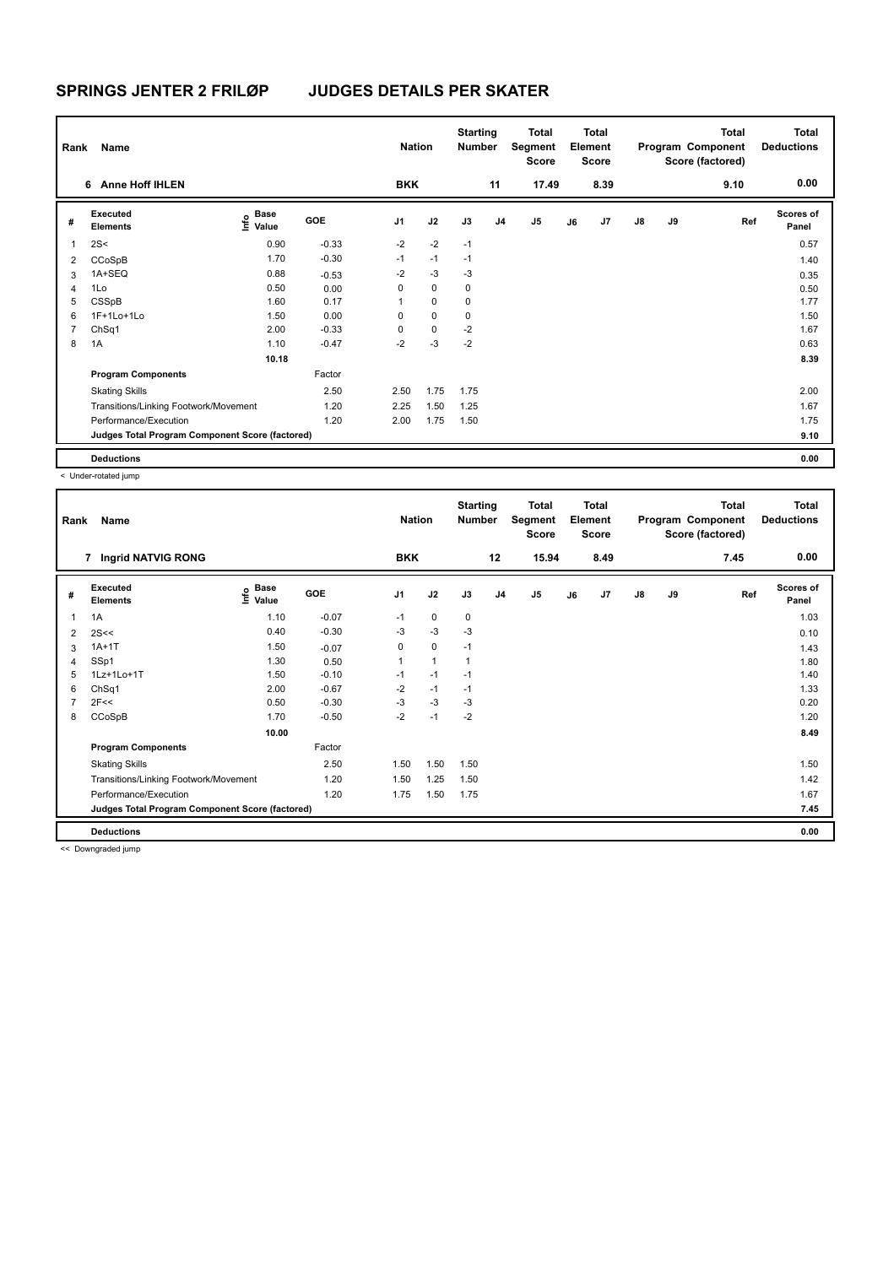| Rank           | <b>Name</b>                                     |                                  |         | <b>Nation</b>  |             | <b>Starting</b><br><b>Number</b> |                | <b>Total</b><br>Segment<br><b>Score</b> |    | <b>Total</b><br>Element<br><b>Score</b> |               |    | Total<br>Program Component<br>Score (factored) | <b>Total</b><br><b>Deductions</b> |
|----------------|-------------------------------------------------|----------------------------------|---------|----------------|-------------|----------------------------------|----------------|-----------------------------------------|----|-----------------------------------------|---------------|----|------------------------------------------------|-----------------------------------|
|                | <b>Anne Hoff IHLEN</b><br>6                     |                                  |         | <b>BKK</b>     |             |                                  | 11             | 17.49                                   |    | 8.39                                    |               |    | 9.10                                           | 0.00                              |
| #              | Executed<br><b>Elements</b>                     | <b>Base</b><br>o Base<br>⊆ Value | GOE     | J <sub>1</sub> | J2          | J3                               | J <sub>4</sub> | J <sub>5</sub>                          | J6 | J7                                      | $\mathsf{J}8$ | J9 | Ref                                            | Scores of<br>Panel                |
| 1              | 2S<                                             | 0.90                             | $-0.33$ | $-2$           | $-2$        | $-1$                             |                |                                         |    |                                         |               |    |                                                | 0.57                              |
| 2              | CCoSpB                                          | 1.70                             | $-0.30$ | $-1$           | $-1$        | $-1$                             |                |                                         |    |                                         |               |    |                                                | 1.40                              |
| 3              | 1A+SEQ                                          | 0.88                             | $-0.53$ | $-2$           | $-3$        | $-3$                             |                |                                         |    |                                         |               |    |                                                | 0.35                              |
| $\overline{4}$ | 1Lo                                             | 0.50                             | 0.00    | 0              | $\mathbf 0$ | $\mathbf 0$                      |                |                                         |    |                                         |               |    |                                                | 0.50                              |
| 5              | CSSpB                                           | 1.60                             | 0.17    | 1              | $\mathbf 0$ | 0                                |                |                                         |    |                                         |               |    |                                                | 1.77                              |
| 6              | 1F+1Lo+1Lo                                      | 1.50                             | 0.00    | 0              | $\mathbf 0$ | $\mathbf 0$                      |                |                                         |    |                                         |               |    |                                                | 1.50                              |
| 7              | ChSq1                                           | 2.00                             | $-0.33$ | 0              | $\mathbf 0$ | $-2$                             |                |                                         |    |                                         |               |    |                                                | 1.67                              |
| 8              | 1A                                              | 1.10                             | $-0.47$ | $-2$           | $-3$        | $-2$                             |                |                                         |    |                                         |               |    |                                                | 0.63                              |
|                |                                                 | 10.18                            |         |                |             |                                  |                |                                         |    |                                         |               |    |                                                | 8.39                              |
|                | <b>Program Components</b>                       |                                  | Factor  |                |             |                                  |                |                                         |    |                                         |               |    |                                                |                                   |
|                | <b>Skating Skills</b>                           |                                  | 2.50    | 2.50           | 1.75        | 1.75                             |                |                                         |    |                                         |               |    |                                                | 2.00                              |
|                | Transitions/Linking Footwork/Movement           |                                  | 1.20    | 2.25           | 1.50        | 1.25                             |                |                                         |    |                                         |               |    |                                                | 1.67                              |
|                | Performance/Execution                           |                                  | 1.20    | 2.00           | 1.75        | 1.50                             |                |                                         |    |                                         |               |    |                                                | 1.75                              |
|                | Judges Total Program Component Score (factored) |                                  |         |                |             |                                  |                |                                         |    |                                         |               |    |                                                | 9.10                              |
|                | <b>Deductions</b>                               |                                  |         |                |             |                                  |                |                                         |    |                                         |               |    |                                                | 0.00                              |

< Under-rotated jump

| Rank | Name                                            |                   |         | <b>Nation</b>  |              | <b>Starting</b><br><b>Number</b> |                | Total<br>Segment<br><b>Score</b> |    | <b>Total</b><br>Element<br><b>Score</b> |               |    | <b>Total</b><br>Program Component<br>Score (factored) | <b>Total</b><br><b>Deductions</b> |
|------|-------------------------------------------------|-------------------|---------|----------------|--------------|----------------------------------|----------------|----------------------------------|----|-----------------------------------------|---------------|----|-------------------------------------------------------|-----------------------------------|
|      | 7 Ingrid NATVIG RONG                            |                   |         | <b>BKK</b>     |              |                                  | 12             | 15.94                            |    | 8.49                                    |               |    | 7.45                                                  | 0.00                              |
| #    | Executed<br><b>Elements</b>                     | e Base<br>E Value | GOE     | J <sub>1</sub> | J2           | J3                               | J <sub>4</sub> | J5                               | J6 | J7                                      | $\mathsf{J}8$ | J9 | Ref                                                   | Scores of<br>Panel                |
| 1    | 1A                                              | 1.10              | $-0.07$ | $-1$           | 0            | 0                                |                |                                  |    |                                         |               |    |                                                       | 1.03                              |
| 2    | 2S<<                                            | 0.40              | $-0.30$ | -3             | $-3$         | -3                               |                |                                  |    |                                         |               |    |                                                       | 0.10                              |
| 3    | $1A+1T$                                         | 1.50              | $-0.07$ | 0              | $\mathbf 0$  | $-1$                             |                |                                  |    |                                         |               |    |                                                       | 1.43                              |
| 4    | SSp1                                            | 1.30              | 0.50    | $\mathbf{1}$   | $\mathbf{1}$ | 1                                |                |                                  |    |                                         |               |    |                                                       | 1.80                              |
| 5    | 1Lz+1Lo+1T                                      | 1.50              | $-0.10$ | $-1$           | $-1$         | $-1$                             |                |                                  |    |                                         |               |    |                                                       | 1.40                              |
| 6    | ChSq1                                           | 2.00              | $-0.67$ | $-2$           | $-1$         | $-1$                             |                |                                  |    |                                         |               |    |                                                       | 1.33                              |
| 7    | 2F<<                                            | 0.50              | $-0.30$ | $-3$           | $-3$         | $-3$                             |                |                                  |    |                                         |               |    |                                                       | 0.20                              |
| 8    | CCoSpB                                          | 1.70              | $-0.50$ | $-2$           | $-1$         | $-2$                             |                |                                  |    |                                         |               |    |                                                       | 1.20                              |
|      |                                                 | 10.00             |         |                |              |                                  |                |                                  |    |                                         |               |    |                                                       | 8.49                              |
|      | <b>Program Components</b>                       |                   | Factor  |                |              |                                  |                |                                  |    |                                         |               |    |                                                       |                                   |
|      | <b>Skating Skills</b>                           |                   | 2.50    | 1.50           | 1.50         | 1.50                             |                |                                  |    |                                         |               |    |                                                       | 1.50                              |
|      | Transitions/Linking Footwork/Movement           |                   | 1.20    | 1.50           | 1.25         | 1.50                             |                |                                  |    |                                         |               |    |                                                       | 1.42                              |
|      | Performance/Execution                           |                   | 1.20    | 1.75           | 1.50         | 1.75                             |                |                                  |    |                                         |               |    |                                                       | 1.67                              |
|      | Judges Total Program Component Score (factored) |                   |         |                |              |                                  |                |                                  |    |                                         |               |    |                                                       | 7.45                              |
|      | <b>Deductions</b>                               |                   |         |                |              |                                  |                |                                  |    |                                         |               |    |                                                       | 0.00                              |

<< Downgraded jump

Ш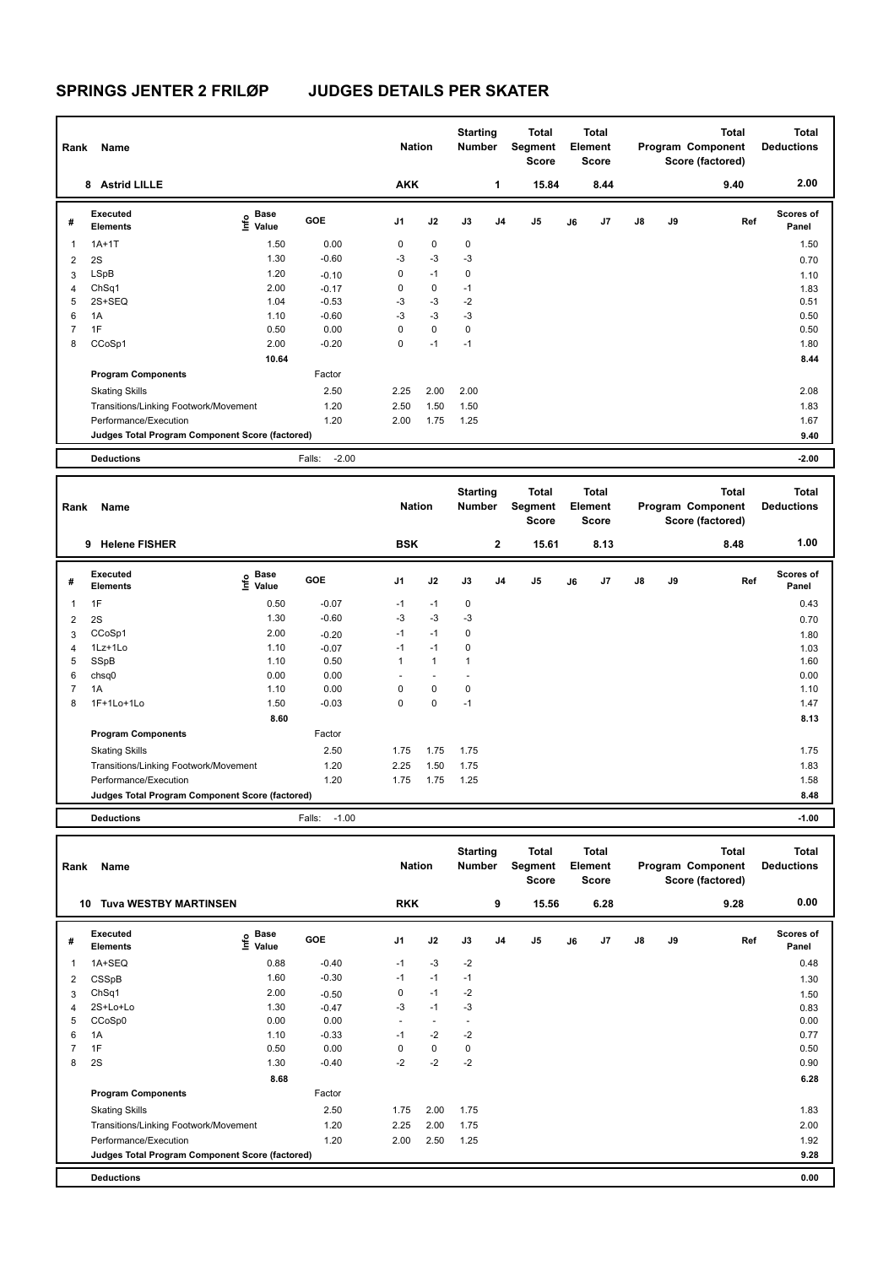| Rank | Name                                            |                           |                   | <b>Nation</b> |      | <b>Starting</b><br>Number |                | Total<br>Segment<br><b>Score</b> |    | Total<br>Element<br><b>Score</b> |               |    | <b>Total</b><br>Program Component<br>Score (factored) | Total<br><b>Deductions</b> |
|------|-------------------------------------------------|---------------------------|-------------------|---------------|------|---------------------------|----------------|----------------------------------|----|----------------------------------|---------------|----|-------------------------------------------------------|----------------------------|
|      | <b>Astrid LILLE</b><br>8                        |                           |                   | <b>AKK</b>    |      |                           | 1              | 15.84                            |    | 8.44                             |               |    | 9.40                                                  | 2.00                       |
| #    | Executed<br><b>Elements</b>                     | Base<br>o Base<br>⊆ Value | <b>GOE</b>        | J1            | J2   | J3                        | J <sub>4</sub> | J5                               | J6 | J7                               | $\mathsf{J}8$ | J9 | Ref                                                   | <b>Scores of</b><br>Panel  |
| 1    | $1A+1T$                                         | 1.50                      | 0.00              | 0             | 0    | $\mathbf 0$               |                |                                  |    |                                  |               |    |                                                       | 1.50                       |
| 2    | 2S                                              | 1.30                      | $-0.60$           | $-3$          | $-3$ | $-3$                      |                |                                  |    |                                  |               |    |                                                       | 0.70                       |
| 3    | LSpB                                            | 1.20                      | $-0.10$           | 0             | $-1$ | $\mathbf 0$               |                |                                  |    |                                  |               |    |                                                       | 1.10                       |
| 4    | ChSq1                                           | 2.00                      | $-0.17$           | 0             | 0    | $-1$                      |                |                                  |    |                                  |               |    |                                                       | 1.83                       |
| 5    | 2S+SEQ                                          | 1.04                      | $-0.53$           | $-3$          | $-3$ | $-2$                      |                |                                  |    |                                  |               |    |                                                       | 0.51                       |
| 6    | 1A                                              | 1.10                      | $-0.60$           | $-3$          | $-3$ | $-3$                      |                |                                  |    |                                  |               |    |                                                       | 0.50                       |
|      | 1F                                              | 0.50                      | 0.00              | 0             | 0    | $\mathbf 0$               |                |                                  |    |                                  |               |    |                                                       | 0.50                       |
| 8    | CCoSp1                                          | 2.00                      | $-0.20$           | 0             | $-1$ | $-1$                      |                |                                  |    |                                  |               |    |                                                       | 1.80                       |
|      |                                                 | 10.64                     |                   |               |      |                           |                |                                  |    |                                  |               |    |                                                       | 8.44                       |
|      | <b>Program Components</b>                       |                           | Factor            |               |      |                           |                |                                  |    |                                  |               |    |                                                       |                            |
|      | <b>Skating Skills</b>                           |                           | 2.50              | 2.25          | 2.00 | 2.00                      |                |                                  |    |                                  |               |    |                                                       | 2.08                       |
|      | Transitions/Linking Footwork/Movement           |                           | 1.20              | 2.50          | 1.50 | 1.50                      |                |                                  |    |                                  |               |    |                                                       | 1.83                       |
|      | Performance/Execution                           |                           | 1.20              | 2.00          | 1.75 | 1.25                      |                |                                  |    |                                  |               |    |                                                       | 1.67                       |
|      | Judges Total Program Component Score (factored) |                           |                   |               |      |                           |                |                                  |    |                                  |               |    |                                                       | 9.40                       |
|      | <b>Deductions</b>                               |                           | $-2.00$<br>Falls: |               |      |                           |                |                                  |    |                                  |               |    |                                                       | $-2.00$                    |

| Rank           | Name                                            |                                  |                   | <b>Nation</b> |                          | <b>Starting</b><br>Number |              | <b>Total</b><br>Segment<br><b>Score</b> |    | <b>Total</b><br>Element<br><b>Score</b> |               |    | <b>Total</b><br>Program Component<br>Score (factored) | Total<br><b>Deductions</b> |
|----------------|-------------------------------------------------|----------------------------------|-------------------|---------------|--------------------------|---------------------------|--------------|-----------------------------------------|----|-----------------------------------------|---------------|----|-------------------------------------------------------|----------------------------|
|                | <b>Helene FISHER</b><br>9                       |                                  |                   | <b>BSK</b>    |                          |                           | $\mathbf{2}$ | 15.61                                   |    | 8.13                                    |               |    | 8.48                                                  | 1.00                       |
| #              | Executed<br><b>Elements</b>                     | <b>Base</b><br>e Base<br>⊆ Value | GOE               | J1            | J2                       | J3                        | J4           | J5                                      | J6 | J7                                      | $\mathsf{J}8$ | J9 | Ref                                                   | <b>Scores of</b><br>Panel  |
| $\mathbf{1}$   | 1F                                              | 0.50                             | $-0.07$           | $-1$          | $-1$                     | $\mathbf 0$               |              |                                         |    |                                         |               |    |                                                       | 0.43                       |
| 2              | 2S                                              | 1.30                             | $-0.60$           | $-3$          | $-3$                     | $-3$                      |              |                                         |    |                                         |               |    |                                                       | 0.70                       |
| 3              | CCoSp1                                          | 2.00                             | $-0.20$           | $-1$          | $-1$                     | 0                         |              |                                         |    |                                         |               |    |                                                       | 1.80                       |
| 4              | 1Lz+1Lo                                         | 1.10                             | $-0.07$           | $-1$          | $-1$                     | 0                         |              |                                         |    |                                         |               |    |                                                       | 1.03                       |
| 5              | SSpB                                            | 1.10                             | 0.50              | $\mathbf{1}$  | $\mathbf{1}$             | $\mathbf 1$               |              |                                         |    |                                         |               |    |                                                       | 1.60                       |
| 6              | chsq0                                           | 0.00                             | 0.00              | ٠             | $\overline{\phantom{a}}$ |                           |              |                                         |    |                                         |               |    |                                                       | 0.00                       |
| $\overline{7}$ | 1A                                              | 1.10                             | 0.00              | 0             | 0                        | 0                         |              |                                         |    |                                         |               |    |                                                       | 1.10                       |
| 8              | 1F+1Lo+1Lo                                      | 1.50                             | $-0.03$           | $\mathbf 0$   | 0                        | $-1$                      |              |                                         |    |                                         |               |    |                                                       | 1.47                       |
|                |                                                 | 8.60                             |                   |               |                          |                           |              |                                         |    |                                         |               |    |                                                       | 8.13                       |
|                | <b>Program Components</b>                       |                                  | Factor            |               |                          |                           |              |                                         |    |                                         |               |    |                                                       |                            |
|                | <b>Skating Skills</b>                           |                                  | 2.50              | 1.75          | 1.75                     | 1.75                      |              |                                         |    |                                         |               |    |                                                       | 1.75                       |
|                | Transitions/Linking Footwork/Movement           |                                  | 1.20              | 2.25          | 1.50                     | 1.75                      |              |                                         |    |                                         |               |    |                                                       | 1.83                       |
|                | Performance/Execution                           |                                  | 1.20              | 1.75          | 1.75                     | 1.25                      |              |                                         |    |                                         |               |    |                                                       | 1.58                       |
|                | Judges Total Program Component Score (factored) |                                  |                   |               |                          |                           |              |                                         |    |                                         |               |    |                                                       | 8.48                       |
|                | <b>Deductions</b>                               |                                  | $-1.00$<br>Falls: |               |                          |                           |              |                                         |    |                                         |               |    |                                                       | $-1.00$                    |

| Rank | Name                                            |                              |         | <b>Nation</b> |                          | <b>Starting</b><br><b>Number</b> |                | Total<br>Segment<br><b>Score</b> |    | <b>Total</b><br>Element<br><b>Score</b> |               |    | <b>Total</b><br>Program Component<br>Score (factored) | Total<br><b>Deductions</b> |
|------|-------------------------------------------------|------------------------------|---------|---------------|--------------------------|----------------------------------|----------------|----------------------------------|----|-----------------------------------------|---------------|----|-------------------------------------------------------|----------------------------|
|      | <b>Tuva WESTBY MARTINSEN</b><br>10              |                              |         | <b>RKK</b>    |                          |                                  | 9              | 15.56                            |    | 6.28                                    |               |    | 9.28                                                  | 0.00                       |
| #    | <b>Executed</b><br><b>Elements</b>              | <b>Base</b><br>lnfo<br>Value | GOE     | J1            | J2                       | J3                               | J <sub>4</sub> | J5                               | J6 | J7                                      | $\mathsf{J}8$ | J9 | Ref                                                   | Scores of<br>Panel         |
| 1    | 1A+SEQ                                          | 0.88                         | $-0.40$ | $-1$          | $-3$                     | $-2$                             |                |                                  |    |                                         |               |    |                                                       | 0.48                       |
| 2    | CSSpB                                           | 1.60                         | $-0.30$ | $-1$          | $-1$                     | $-1$                             |                |                                  |    |                                         |               |    |                                                       | 1.30                       |
| 3    | ChSq1                                           | 2.00                         | $-0.50$ | 0             | $-1$                     | $-2$                             |                |                                  |    |                                         |               |    |                                                       | 1.50                       |
| 4    | 2S+Lo+Lo                                        | 1.30                         | $-0.47$ | $-3$          | $-1$                     | -3                               |                |                                  |    |                                         |               |    |                                                       | 0.83                       |
| 5    | CCoSp0                                          | 0.00                         | 0.00    | $\sim$        | $\overline{\phantom{a}}$ | $\overline{\phantom{a}}$         |                |                                  |    |                                         |               |    |                                                       | 0.00                       |
| 6    | 1A                                              | 1.10                         | $-0.33$ | $-1$          | $-2$                     | $-2$                             |                |                                  |    |                                         |               |    |                                                       | 0.77                       |
|      | 1F                                              | 0.50                         | 0.00    | 0             | 0                        | 0                                |                |                                  |    |                                         |               |    |                                                       | 0.50                       |
| 8    | 2S                                              | 1.30                         | $-0.40$ | $-2$          | $-2$                     | $-2$                             |                |                                  |    |                                         |               |    |                                                       | 0.90                       |
|      |                                                 | 8.68                         |         |               |                          |                                  |                |                                  |    |                                         |               |    |                                                       | 6.28                       |
|      | <b>Program Components</b>                       |                              | Factor  |               |                          |                                  |                |                                  |    |                                         |               |    |                                                       |                            |
|      | <b>Skating Skills</b>                           |                              | 2.50    | 1.75          | 2.00                     | 1.75                             |                |                                  |    |                                         |               |    |                                                       | 1.83                       |
|      | Transitions/Linking Footwork/Movement           |                              | 1.20    | 2.25          | 2.00                     | 1.75                             |                |                                  |    |                                         |               |    |                                                       | 2.00                       |
|      | Performance/Execution                           |                              | 1.20    | 2.00          | 2.50                     | 1.25                             |                |                                  |    |                                         |               |    |                                                       | 1.92                       |
|      | Judges Total Program Component Score (factored) |                              |         |               |                          |                                  |                |                                  |    |                                         |               |    |                                                       | 9.28                       |
|      | <b>Deductions</b>                               |                              |         |               |                          |                                  |                |                                  |    |                                         |               |    |                                                       | 0.00                       |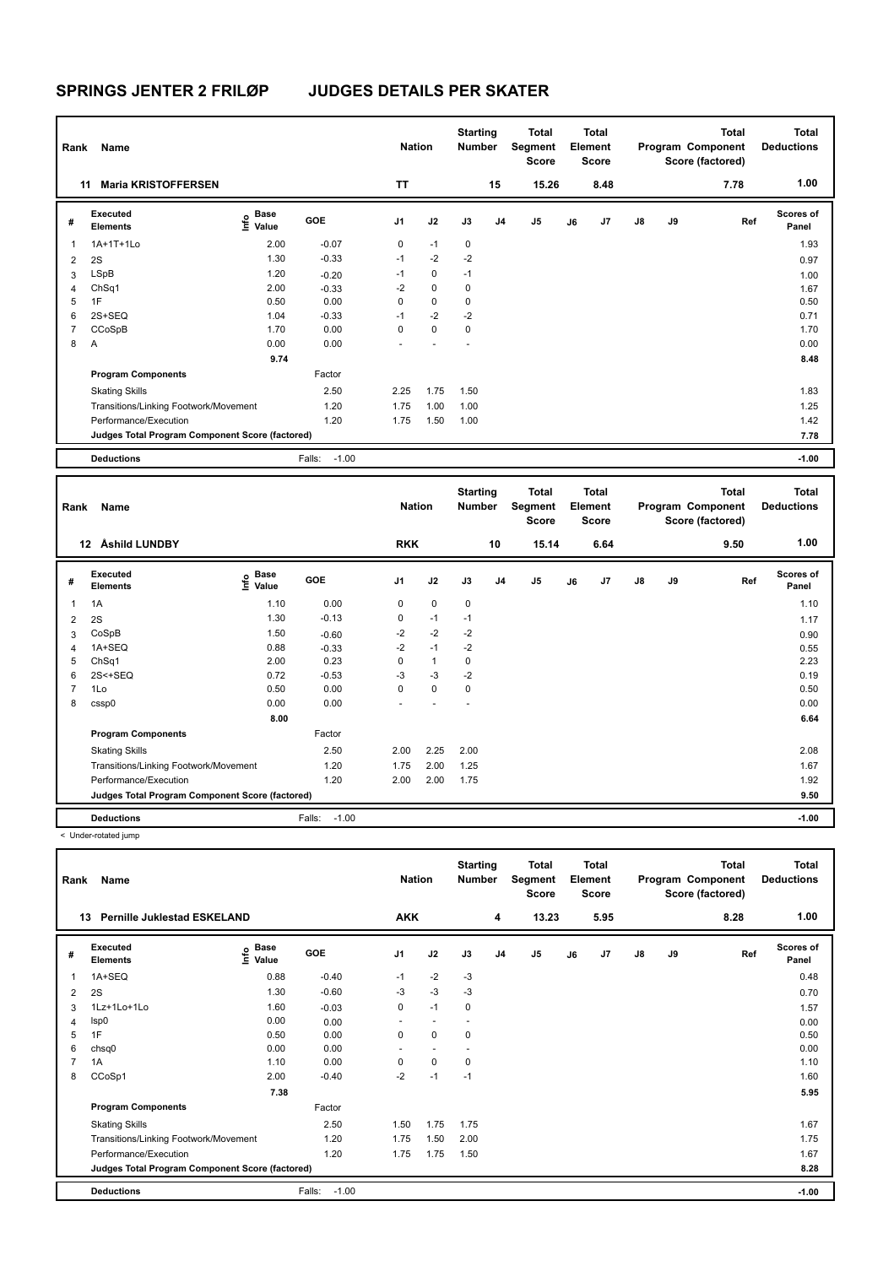| Rank | Name                                            |                           |                   | <b>Nation</b> |             | <b>Starting</b><br><b>Number</b> |                | <b>Total</b><br>Segment<br><b>Score</b> |    | Total<br>Element<br><b>Score</b> |               |    | <b>Total</b><br>Program Component<br>Score (factored) | Total<br><b>Deductions</b> |
|------|-------------------------------------------------|---------------------------|-------------------|---------------|-------------|----------------------------------|----------------|-----------------------------------------|----|----------------------------------|---------------|----|-------------------------------------------------------|----------------------------|
|      | <b>Maria KRISTOFFERSEN</b><br>11                |                           |                   | <b>TT</b>     |             |                                  | 15             | 15.26                                   |    | 8.48                             |               |    | 7.78                                                  | 1.00                       |
| #    | Executed<br><b>Elements</b>                     | Base<br>o Base<br>⊆ Value | GOE               | J1            | J2          | J3                               | J <sub>4</sub> | J5                                      | J6 | J7                               | $\mathsf{J}8$ | J9 | Ref                                                   | <b>Scores of</b><br>Panel  |
| 1    | 1A+1T+1Lo                                       | 2.00                      | $-0.07$           | 0             | $-1$        | 0                                |                |                                         |    |                                  |               |    |                                                       | 1.93                       |
| 2    | 2S                                              | 1.30                      | $-0.33$           | $-1$          | $-2$        | $-2$                             |                |                                         |    |                                  |               |    |                                                       | 0.97                       |
| 3    | <b>LSpB</b>                                     | 1.20                      | $-0.20$           | $-1$          | 0           | $-1$                             |                |                                         |    |                                  |               |    |                                                       | 1.00                       |
| 4    | ChSq1                                           | 2.00                      | $-0.33$           | $-2$          | $\mathbf 0$ | 0                                |                |                                         |    |                                  |               |    |                                                       | 1.67                       |
| 5    | 1F                                              | 0.50                      | 0.00              | 0             | $\mathbf 0$ | 0                                |                |                                         |    |                                  |               |    |                                                       | 0.50                       |
| 6    | 2S+SEQ                                          | 1.04                      | $-0.33$           | $-1$          | $-2$        | $-2$                             |                |                                         |    |                                  |               |    |                                                       | 0.71                       |
|      | CCoSpB                                          | 1.70                      | 0.00              | 0             | $\mathbf 0$ | 0                                |                |                                         |    |                                  |               |    |                                                       | 1.70                       |
| 8    | A                                               | 0.00                      | 0.00              |               |             |                                  |                |                                         |    |                                  |               |    |                                                       | 0.00                       |
|      |                                                 | 9.74                      |                   |               |             |                                  |                |                                         |    |                                  |               |    |                                                       | 8.48                       |
|      | <b>Program Components</b>                       |                           | Factor            |               |             |                                  |                |                                         |    |                                  |               |    |                                                       |                            |
|      | <b>Skating Skills</b>                           |                           | 2.50              | 2.25          | 1.75        | 1.50                             |                |                                         |    |                                  |               |    |                                                       | 1.83                       |
|      | Transitions/Linking Footwork/Movement           |                           | 1.20              | 1.75          | 1.00        | 1.00                             |                |                                         |    |                                  |               |    |                                                       | 1.25                       |
|      | Performance/Execution                           |                           | 1.20              | 1.75          | 1.50        | 1.00                             |                |                                         |    |                                  |               |    |                                                       | 1.42                       |
|      | Judges Total Program Component Score (factored) |                           |                   |               |             |                                  |                |                                         |    |                                  |               |    |                                                       | 7.78                       |
|      | <b>Deductions</b>                               |                           | $-1.00$<br>Falls: |               |             |                                  |                |                                         |    |                                  |               |    |                                                       | $-1.00$                    |

| Rank | Name                                            |                                    |                   | <b>Nation</b> |              | <b>Starting</b><br><b>Number</b> |    | <b>Total</b><br>Segment<br><b>Score</b> |    | Total<br>Element<br><b>Score</b> |               |    | <b>Total</b><br>Program Component<br>Score (factored) | Total<br><b>Deductions</b> |
|------|-------------------------------------------------|------------------------------------|-------------------|---------------|--------------|----------------------------------|----|-----------------------------------------|----|----------------------------------|---------------|----|-------------------------------------------------------|----------------------------|
|      | Åshild LUNDBY<br>$12 \,$                        |                                    |                   | <b>RKK</b>    |              |                                  | 10 | 15.14                                   |    | 6.64                             |               |    | 9.50                                                  | 1.00                       |
| #    | Executed<br><b>Elements</b>                     | <b>Base</b><br>$\frac{6}{5}$ Value | GOE               | J1            | J2           | J3                               | J4 | J5                                      | J6 | J7                               | $\mathsf{J}8$ | J9 | Ref                                                   | <b>Scores of</b><br>Panel  |
|      | 1A                                              | 1.10                               | 0.00              | 0             | $\mathbf 0$  | $\mathbf 0$                      |    |                                         |    |                                  |               |    |                                                       | 1.10                       |
| 2    | 2S                                              | 1.30                               | $-0.13$           | 0             | $-1$         | $-1$                             |    |                                         |    |                                  |               |    |                                                       | 1.17                       |
| 3    | CoSpB                                           | 1.50                               | $-0.60$           | $-2$          | $-2$         | $-2$                             |    |                                         |    |                                  |               |    |                                                       | 0.90                       |
| 4    | 1A+SEQ                                          | 0.88                               | $-0.33$           | $-2$          | $-1$         | $-2$                             |    |                                         |    |                                  |               |    |                                                       | 0.55                       |
| 5    | ChSq1                                           | 2.00                               | 0.23              | 0             | $\mathbf{1}$ | 0                                |    |                                         |    |                                  |               |    |                                                       | 2.23                       |
| 6    | $2S < +SEQ$                                     | 0.72                               | $-0.53$           | $-3$          | $-3$         | $-2$                             |    |                                         |    |                                  |               |    |                                                       | 0.19                       |
|      | 1Lo                                             | 0.50                               | 0.00              | 0             | 0            | 0                                |    |                                         |    |                                  |               |    |                                                       | 0.50                       |
| 8    | cssp0                                           | 0.00                               | 0.00              |               |              |                                  |    |                                         |    |                                  |               |    |                                                       | 0.00                       |
|      |                                                 | 8.00                               |                   |               |              |                                  |    |                                         |    |                                  |               |    |                                                       | 6.64                       |
|      | <b>Program Components</b>                       |                                    | Factor            |               |              |                                  |    |                                         |    |                                  |               |    |                                                       |                            |
|      | <b>Skating Skills</b>                           |                                    | 2.50              | 2.00          | 2.25         | 2.00                             |    |                                         |    |                                  |               |    |                                                       | 2.08                       |
|      | Transitions/Linking Footwork/Movement           |                                    | 1.20              | 1.75          | 2.00         | 1.25                             |    |                                         |    |                                  |               |    |                                                       | 1.67                       |
|      | Performance/Execution                           |                                    | 1.20              | 2.00          | 2.00         | 1.75                             |    |                                         |    |                                  |               |    |                                                       | 1.92                       |
|      | Judges Total Program Component Score (factored) |                                    |                   |               |              |                                  |    |                                         |    |                                  |               |    |                                                       | 9.50                       |
|      | <b>Deductions</b>                               |                                    | $-1.00$<br>Falls: |               |              |                                  |    |                                         |    |                                  |               |    |                                                       | $-1.00$                    |

< Under-rotated jump

| Rank<br>13                                      | Name<br><b>Pernille Juklestad ESKELAND</b> |                           |                   | <b>Nation</b><br><b>AKK</b> |                          | <b>Starting</b><br><b>Number</b> | 4              | Total<br>Segment<br><b>Score</b><br>13.23 |    | <b>Total</b><br>Element<br><b>Score</b><br>5.95 |               |    | <b>Total</b><br>Program Component<br>Score (factored)<br>8.28 | Total<br><b>Deductions</b><br>1.00 |
|-------------------------------------------------|--------------------------------------------|---------------------------|-------------------|-----------------------------|--------------------------|----------------------------------|----------------|-------------------------------------------|----|-------------------------------------------------|---------------|----|---------------------------------------------------------------|------------------------------------|
|                                                 |                                            |                           |                   |                             |                          |                                  |                |                                           |    |                                                 |               |    |                                                               |                                    |
| #                                               | Executed<br><b>Elements</b>                | Base<br>e Base<br>⊆ Value | <b>GOE</b>        | J <sub>1</sub>              | J2                       | J3                               | J <sub>4</sub> | J <sub>5</sub>                            | J6 | J7                                              | $\mathsf{J}8$ | J9 | Ref                                                           | <b>Scores of</b><br>Panel          |
| 1                                               | 1A+SEQ                                     | 0.88                      | $-0.40$           | $-1$                        | $-2$                     | $-3$                             |                |                                           |    |                                                 |               |    |                                                               | 0.48                               |
| 2                                               | 2S                                         | 1.30                      | $-0.60$           | $-3$                        | $-3$                     | $-3$                             |                |                                           |    |                                                 |               |    |                                                               | 0.70                               |
| 3                                               | 1Lz+1Lo+1Lo                                | 1.60                      | $-0.03$           | 0                           | $-1$                     | 0                                |                |                                           |    |                                                 |               |    |                                                               | 1.57                               |
| 4                                               | Isp0                                       | 0.00                      | 0.00              | ٠                           | $\overline{\phantom{a}}$ | ٠                                |                |                                           |    |                                                 |               |    |                                                               | 0.00                               |
| 5                                               | 1F                                         | 0.50                      | 0.00              | 0                           | 0                        | 0                                |                |                                           |    |                                                 |               |    |                                                               | 0.50                               |
| 6                                               | chsq0                                      | 0.00                      | 0.00              | ٠                           |                          |                                  |                |                                           |    |                                                 |               |    |                                                               | 0.00                               |
| $\overline{7}$                                  | 1A                                         | 1.10                      | 0.00              | 0                           | $\mathbf 0$              | 0                                |                |                                           |    |                                                 |               |    |                                                               | 1.10                               |
| 8                                               | CCoSp1                                     | 2.00                      | $-0.40$           | $-2$                        | $-1$                     | $-1$                             |                |                                           |    |                                                 |               |    |                                                               | 1.60                               |
|                                                 |                                            | 7.38                      |                   |                             |                          |                                  |                |                                           |    |                                                 |               |    |                                                               | 5.95                               |
|                                                 | <b>Program Components</b>                  |                           | Factor            |                             |                          |                                  |                |                                           |    |                                                 |               |    |                                                               |                                    |
|                                                 | <b>Skating Skills</b>                      |                           | 2.50              | 1.50                        | 1.75                     | 1.75                             |                |                                           |    |                                                 |               |    |                                                               | 1.67                               |
|                                                 | Transitions/Linking Footwork/Movement      |                           | 1.20              | 1.75                        | 1.50                     | 2.00                             |                |                                           |    |                                                 |               |    |                                                               | 1.75                               |
|                                                 | Performance/Execution                      |                           | 1.20              | 1.75                        | 1.75                     | 1.50                             |                |                                           |    |                                                 |               |    |                                                               | 1.67                               |
| Judges Total Program Component Score (factored) |                                            |                           |                   |                             |                          |                                  |                |                                           |    |                                                 | 8.28          |    |                                                               |                                    |
|                                                 | <b>Deductions</b>                          |                           | $-1.00$<br>Falls: |                             |                          |                                  |                |                                           |    |                                                 |               |    |                                                               | $-1.00$                            |